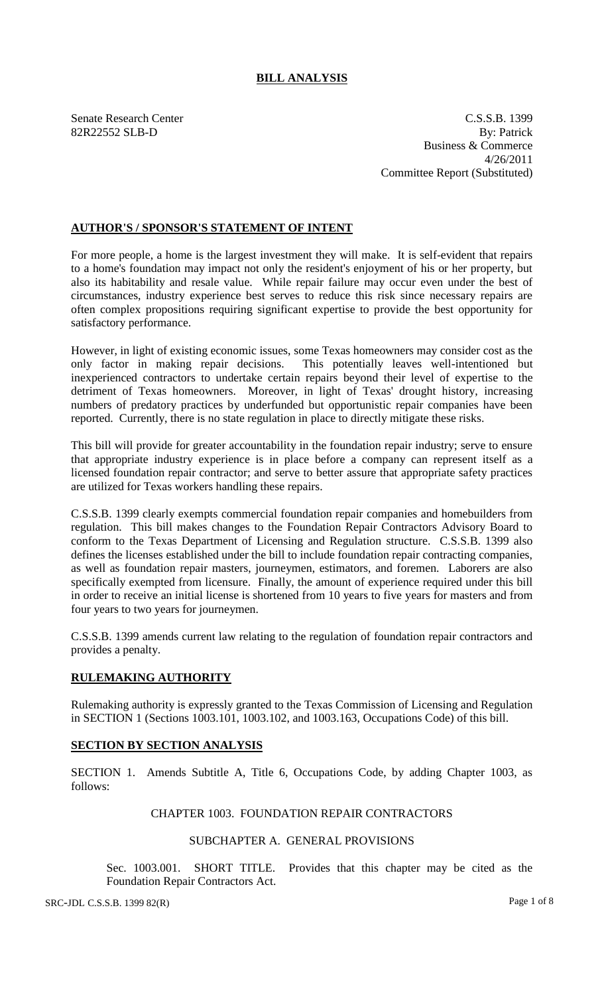## **BILL ANALYSIS**

Senate Research Center C.S.S.B. 1399 82R22552 SLB-D By: Patrick Business & Commerce 4/26/2011 Committee Report (Substituted)

## **AUTHOR'S / SPONSOR'S STATEMENT OF INTENT**

For more people, a home is the largest investment they will make. It is self-evident that repairs to a home's foundation may impact not only the resident's enjoyment of his or her property, but also its habitability and resale value. While repair failure may occur even under the best of circumstances, industry experience best serves to reduce this risk since necessary repairs are often complex propositions requiring significant expertise to provide the best opportunity for satisfactory performance.

However, in light of existing economic issues, some Texas homeowners may consider cost as the only factor in making repair decisions. This potentially leaves well-intentioned but inexperienced contractors to undertake certain repairs beyond their level of expertise to the detriment of Texas homeowners. Moreover, in light of Texas' drought history, increasing numbers of predatory practices by underfunded but opportunistic repair companies have been reported. Currently, there is no state regulation in place to directly mitigate these risks.

This bill will provide for greater accountability in the foundation repair industry; serve to ensure that appropriate industry experience is in place before a company can represent itself as a licensed foundation repair contractor; and serve to better assure that appropriate safety practices are utilized for Texas workers handling these repairs.

C.S.S.B. 1399 clearly exempts commercial foundation repair companies and homebuilders from regulation. This bill makes changes to the Foundation Repair Contractors Advisory Board to conform to the Texas Department of Licensing and Regulation structure. C.S.S.B. 1399 also defines the licenses established under the bill to include foundation repair contracting companies, as well as foundation repair masters, journeymen, estimators, and foremen. Laborers are also specifically exempted from licensure. Finally, the amount of experience required under this bill in order to receive an initial license is shortened from 10 years to five years for masters and from four years to two years for journeymen.

C.S.S.B. 1399 amends current law relating to the regulation of foundation repair contractors and provides a penalty.

## **RULEMAKING AUTHORITY**

Rulemaking authority is expressly granted to the Texas Commission of Licensing and Regulation in SECTION 1 (Sections 1003.101, 1003.102, and 1003.163, Occupations Code) of this bill.

## **SECTION BY SECTION ANALYSIS**

SECTION 1. Amends Subtitle A, Title 6, Occupations Code, by adding Chapter 1003, as follows:

# CHAPTER 1003. FOUNDATION REPAIR CONTRACTORS

## SUBCHAPTER A. GENERAL PROVISIONS

Sec. 1003.001. SHORT TITLE. Provides that this chapter may be cited as the Foundation Repair Contractors Act.

SRC-JDL C.S.S.B. 1399 82(R) Page 1 of 8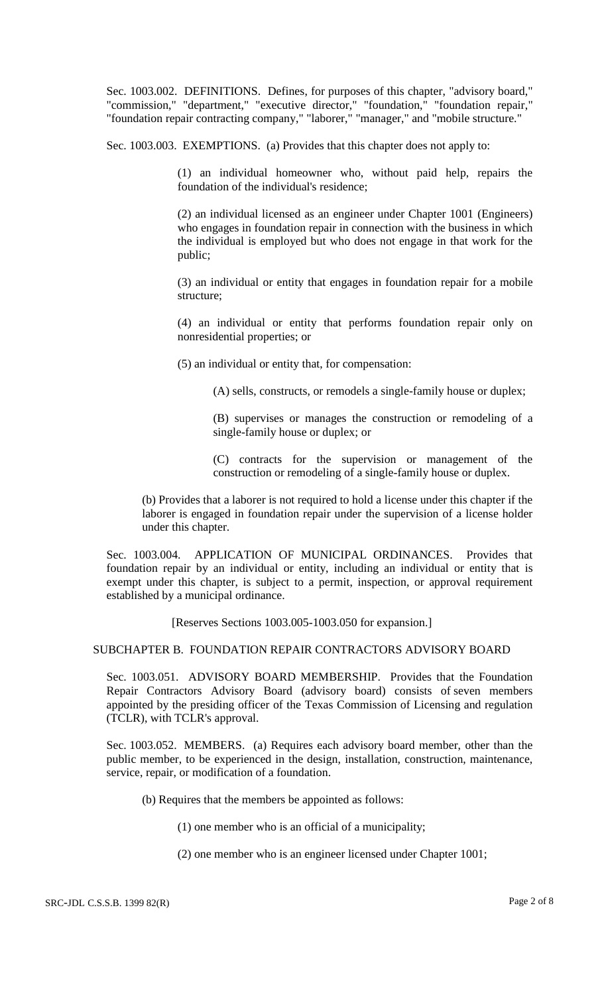Sec. 1003.002. DEFINITIONS. Defines, for purposes of this chapter, "advisory board," "commission," "department," "executive director," "foundation," "foundation repair," "foundation repair contracting company," "laborer," "manager," and "mobile structure."

Sec. 1003.003. EXEMPTIONS. (a) Provides that this chapter does not apply to:

(1) an individual homeowner who, without paid help, repairs the foundation of the individual's residence;

(2) an individual licensed as an engineer under Chapter 1001 (Engineers) who engages in foundation repair in connection with the business in which the individual is employed but who does not engage in that work for the public;

(3) an individual or entity that engages in foundation repair for a mobile structure;

(4) an individual or entity that performs foundation repair only on nonresidential properties; or

(5) an individual or entity that, for compensation:

(A) sells, constructs, or remodels a single-family house or duplex;

(B) supervises or manages the construction or remodeling of a single-family house or duplex; or

(C) contracts for the supervision or management of the construction or remodeling of a single-family house or duplex.

(b) Provides that a laborer is not required to hold a license under this chapter if the laborer is engaged in foundation repair under the supervision of a license holder under this chapter.

Sec. 1003.004. APPLICATION OF MUNICIPAL ORDINANCES. Provides that foundation repair by an individual or entity, including an individual or entity that is exempt under this chapter, is subject to a permit, inspection, or approval requirement established by a municipal ordinance.

[Reserves Sections 1003.005-1003.050 for expansion.]

SUBCHAPTER B. FOUNDATION REPAIR CONTRACTORS ADVISORY BOARD

Sec. 1003.051. ADVISORY BOARD MEMBERSHIP. Provides that the Foundation Repair Contractors Advisory Board (advisory board) consists of seven members appointed by the presiding officer of the Texas Commission of Licensing and regulation (TCLR), with TCLR's approval.

Sec. 1003.052. MEMBERS. (a) Requires each advisory board member, other than the public member, to be experienced in the design, installation, construction, maintenance, service, repair, or modification of a foundation.

(b) Requires that the members be appointed as follows:

(1) one member who is an official of a municipality;

(2) one member who is an engineer licensed under Chapter 1001;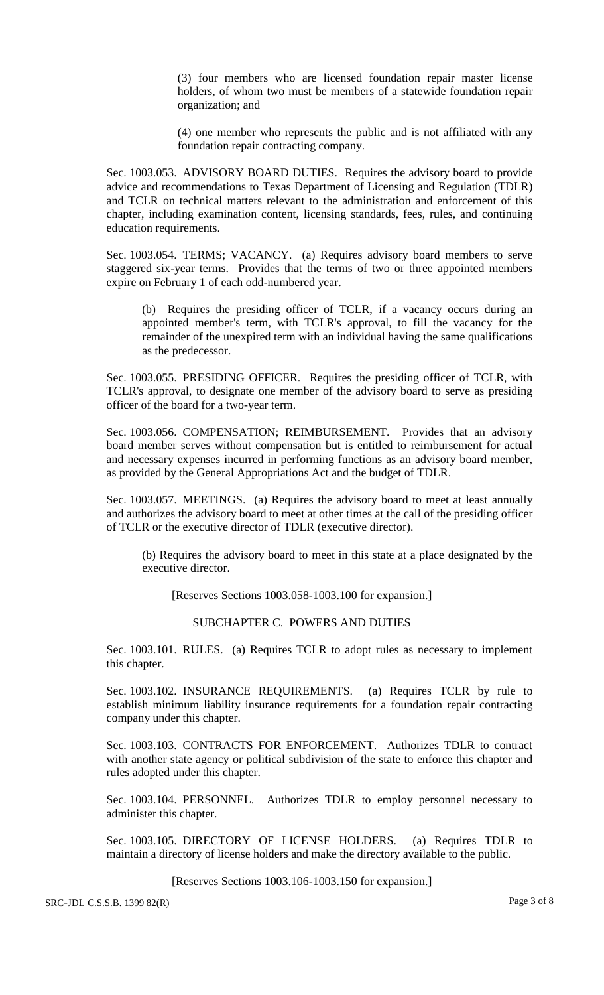(3) four members who are licensed foundation repair master license holders, of whom two must be members of a statewide foundation repair organization; and

(4) one member who represents the public and is not affiliated with any foundation repair contracting company.

Sec. 1003.053. ADVISORY BOARD DUTIES. Requires the advisory board to provide advice and recommendations to Texas Department of Licensing and Regulation (TDLR) and TCLR on technical matters relevant to the administration and enforcement of this chapter, including examination content, licensing standards, fees, rules, and continuing education requirements.

Sec. 1003.054. TERMS; VACANCY. (a) Requires advisory board members to serve staggered six-year terms. Provides that the terms of two or three appointed members expire on February 1 of each odd-numbered year.

(b) Requires the presiding officer of TCLR, if a vacancy occurs during an appointed member's term, with TCLR's approval, to fill the vacancy for the remainder of the unexpired term with an individual having the same qualifications as the predecessor.

Sec. 1003.055. PRESIDING OFFICER. Requires the presiding officer of TCLR, with TCLR's approval, to designate one member of the advisory board to serve as presiding officer of the board for a two-year term.

Sec. 1003.056. COMPENSATION; REIMBURSEMENT. Provides that an advisory board member serves without compensation but is entitled to reimbursement for actual and necessary expenses incurred in performing functions as an advisory board member, as provided by the General Appropriations Act and the budget of TDLR.

Sec. 1003.057. MEETINGS. (a) Requires the advisory board to meet at least annually and authorizes the advisory board to meet at other times at the call of the presiding officer of TCLR or the executive director of TDLR (executive director).

(b) Requires the advisory board to meet in this state at a place designated by the executive director.

[Reserves Sections 1003.058-1003.100 for expansion.]

SUBCHAPTER C. POWERS AND DUTIES

Sec. 1003.101. RULES. (a) Requires TCLR to adopt rules as necessary to implement this chapter.

Sec. 1003.102. INSURANCE REQUIREMENTS. (a) Requires TCLR by rule to establish minimum liability insurance requirements for a foundation repair contracting company under this chapter.

Sec. 1003.103. CONTRACTS FOR ENFORCEMENT. Authorizes TDLR to contract with another state agency or political subdivision of the state to enforce this chapter and rules adopted under this chapter.

Sec. 1003.104. PERSONNEL. Authorizes TDLR to employ personnel necessary to administer this chapter.

Sec. 1003.105. DIRECTORY OF LICENSE HOLDERS. (a) Requires TDLR to maintain a directory of license holders and make the directory available to the public.

[Reserves Sections 1003.106-1003.150 for expansion.]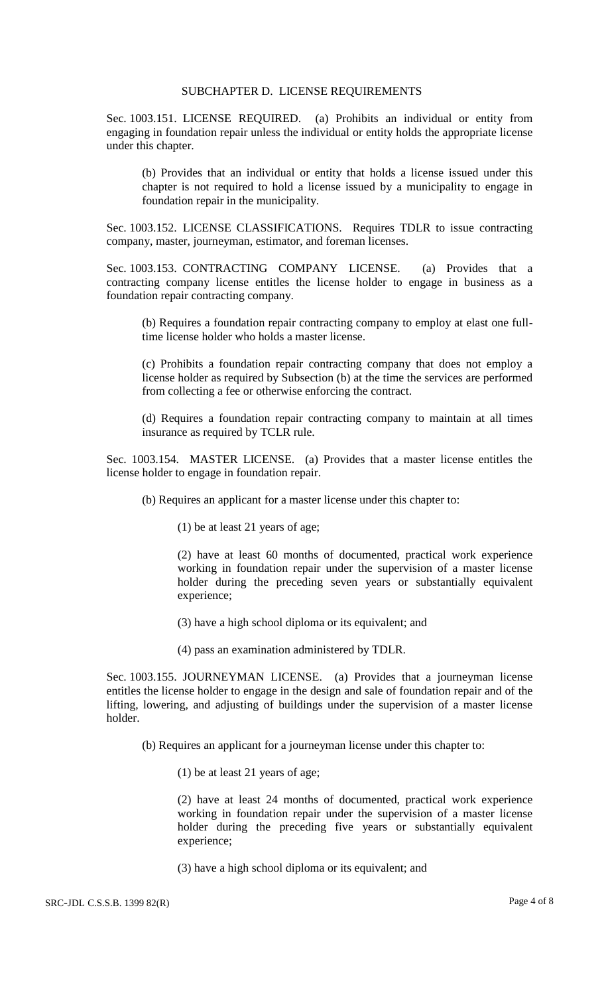### SUBCHAPTER D. LICENSE REQUIREMENTS

Sec. 1003.151. LICENSE REQUIRED. (a) Prohibits an individual or entity from engaging in foundation repair unless the individual or entity holds the appropriate license under this chapter.

(b) Provides that an individual or entity that holds a license issued under this chapter is not required to hold a license issued by a municipality to engage in foundation repair in the municipality.

Sec. 1003.152. LICENSE CLASSIFICATIONS. Requires TDLR to issue contracting company, master, journeyman, estimator, and foreman licenses.

Sec. 1003.153. CONTRACTING COMPANY LICENSE. (a) Provides that a contracting company license entitles the license holder to engage in business as a foundation repair contracting company.

(b) Requires a foundation repair contracting company to employ at elast one fulltime license holder who holds a master license.

(c) Prohibits a foundation repair contracting company that does not employ a license holder as required by Subsection (b) at the time the services are performed from collecting a fee or otherwise enforcing the contract.

(d) Requires a foundation repair contracting company to maintain at all times insurance as required by TCLR rule.

Sec. 1003.154. MASTER LICENSE. (a) Provides that a master license entitles the license holder to engage in foundation repair.

(b) Requires an applicant for a master license under this chapter to:

(1) be at least 21 years of age;

(2) have at least 60 months of documented, practical work experience working in foundation repair under the supervision of a master license holder during the preceding seven years or substantially equivalent experience;

(3) have a high school diploma or its equivalent; and

(4) pass an examination administered by TDLR.

Sec. 1003.155. JOURNEYMAN LICENSE. (a) Provides that a journeyman license entitles the license holder to engage in the design and sale of foundation repair and of the lifting, lowering, and adjusting of buildings under the supervision of a master license holder.

(b) Requires an applicant for a journeyman license under this chapter to:

(1) be at least 21 years of age;

(2) have at least 24 months of documented, practical work experience working in foundation repair under the supervision of a master license holder during the preceding five years or substantially equivalent experience;

(3) have a high school diploma or its equivalent; and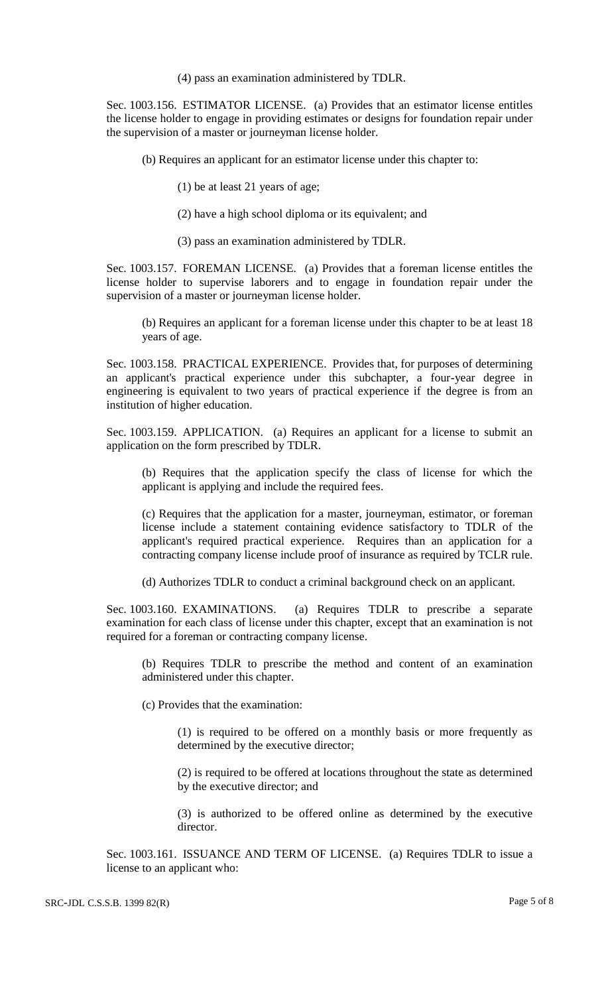(4) pass an examination administered by TDLR.

Sec. 1003.156. ESTIMATOR LICENSE. (a) Provides that an estimator license entitles the license holder to engage in providing estimates or designs for foundation repair under the supervision of a master or journeyman license holder.

(b) Requires an applicant for an estimator license under this chapter to:

(1) be at least 21 years of age;

- (2) have a high school diploma or its equivalent; and
- (3) pass an examination administered by TDLR.

Sec. 1003.157. FOREMAN LICENSE. (a) Provides that a foreman license entitles the license holder to supervise laborers and to engage in foundation repair under the supervision of a master or journeyman license holder.

(b) Requires an applicant for a foreman license under this chapter to be at least 18 years of age.

Sec. 1003.158. PRACTICAL EXPERIENCE. Provides that, for purposes of determining an applicant's practical experience under this subchapter, a four-year degree in engineering is equivalent to two years of practical experience if the degree is from an institution of higher education.

Sec. 1003.159. APPLICATION. (a) Requires an applicant for a license to submit an application on the form prescribed by TDLR.

(b) Requires that the application specify the class of license for which the applicant is applying and include the required fees.

(c) Requires that the application for a master, journeyman, estimator, or foreman license include a statement containing evidence satisfactory to TDLR of the applicant's required practical experience. Requires than an application for a contracting company license include proof of insurance as required by TCLR rule.

(d) Authorizes TDLR to conduct a criminal background check on an applicant.

Sec. 1003.160. EXAMINATIONS. (a) Requires TDLR to prescribe a separate examination for each class of license under this chapter, except that an examination is not required for a foreman or contracting company license.

(b) Requires TDLR to prescribe the method and content of an examination administered under this chapter.

(c) Provides that the examination:

(1) is required to be offered on a monthly basis or more frequently as determined by the executive director;

(2) is required to be offered at locations throughout the state as determined by the executive director; and

(3) is authorized to be offered online as determined by the executive director.

Sec. 1003.161. ISSUANCE AND TERM OF LICENSE. (a) Requires TDLR to issue a license to an applicant who: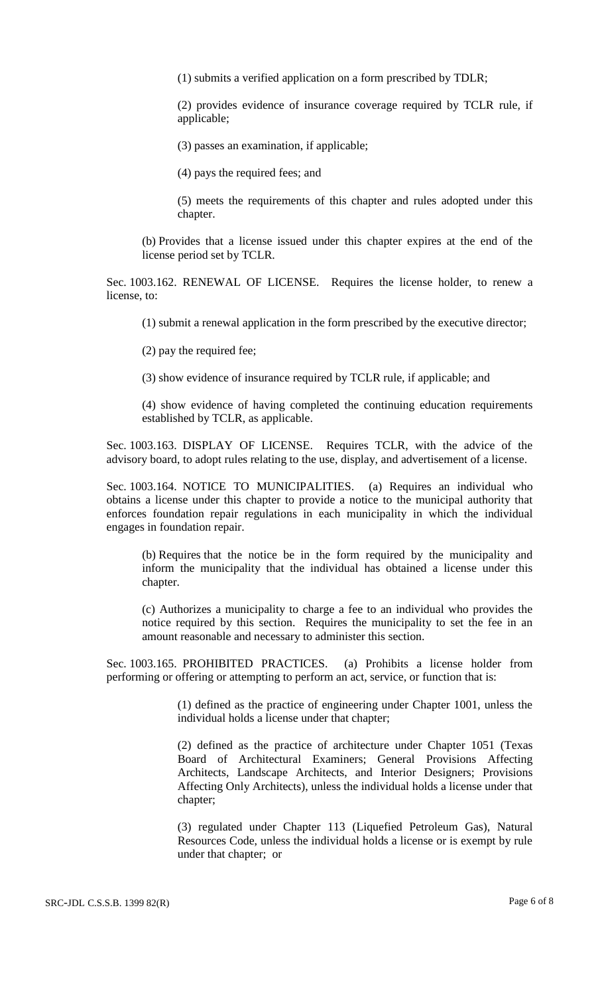(1) submits a verified application on a form prescribed by TDLR;

(2) provides evidence of insurance coverage required by TCLR rule, if applicable;

(3) passes an examination, if applicable;

(4) pays the required fees; and

(5) meets the requirements of this chapter and rules adopted under this chapter.

(b) Provides that a license issued under this chapter expires at the end of the license period set by TCLR.

Sec. 1003.162. RENEWAL OF LICENSE. Requires the license holder, to renew a license, to:

(1) submit a renewal application in the form prescribed by the executive director;

(2) pay the required fee;

(3) show evidence of insurance required by TCLR rule, if applicable; and

(4) show evidence of having completed the continuing education requirements established by TCLR, as applicable.

Sec. 1003.163. DISPLAY OF LICENSE. Requires TCLR, with the advice of the advisory board, to adopt rules relating to the use, display, and advertisement of a license.

Sec. 1003.164. NOTICE TO MUNICIPALITIES. (a) Requires an individual who obtains a license under this chapter to provide a notice to the municipal authority that enforces foundation repair regulations in each municipality in which the individual engages in foundation repair.

(b) Requires that the notice be in the form required by the municipality and inform the municipality that the individual has obtained a license under this chapter.

(c) Authorizes a municipality to charge a fee to an individual who provides the notice required by this section. Requires the municipality to set the fee in an amount reasonable and necessary to administer this section.

Sec. 1003.165. PROHIBITED PRACTICES. (a) Prohibits a license holder from performing or offering or attempting to perform an act, service, or function that is:

> (1) defined as the practice of engineering under Chapter 1001, unless the individual holds a license under that chapter;

> (2) defined as the practice of architecture under Chapter 1051 (Texas Board of Architectural Examiners; General Provisions Affecting Architects, Landscape Architects, and Interior Designers; Provisions Affecting Only Architects), unless the individual holds a license under that chapter;

> (3) regulated under Chapter 113 (Liquefied Petroleum Gas), Natural Resources Code, unless the individual holds a license or is exempt by rule under that chapter; or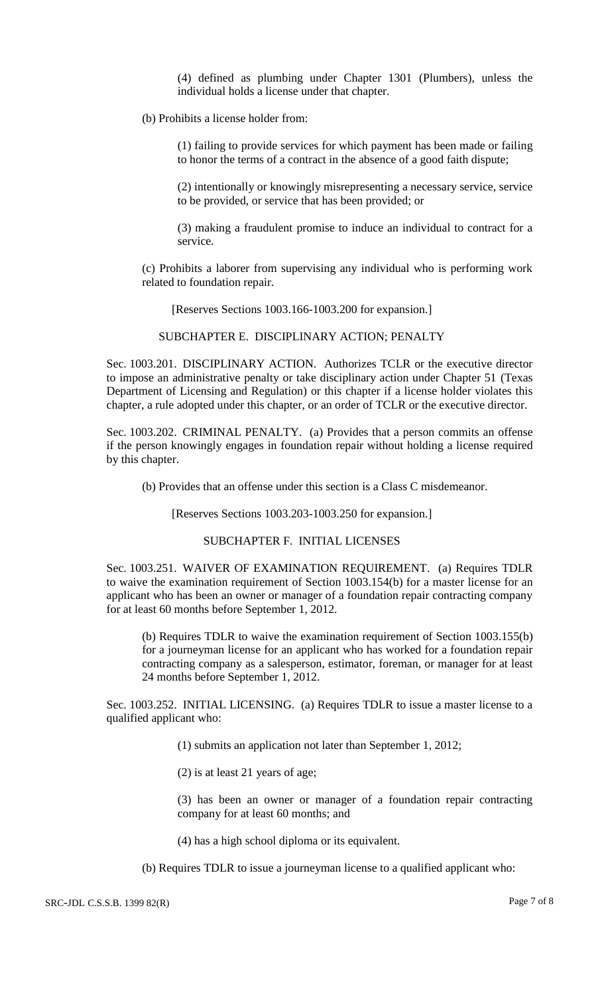(4) defined as plumbing under Chapter 1301 (Plumbers), unless the individual holds a license under that chapter.

(b) Prohibits a license holder from:

(1) failing to provide services for which payment has been made or failing to honor the terms of a contract in the absence of a good faith dispute;

(2) intentionally or knowingly misrepresenting a necessary service, service to be provided, or service that has been provided; or

(3) making a fraudulent promise to induce an individual to contract for a service.

(c) Prohibits a laborer from supervising any individual who is performing work related to foundation repair.

[Reserves Sections 1003.166-1003.200 for expansion.]

SUBCHAPTER E. DISCIPLINARY ACTION; PENALTY

Sec. 1003.201. DISCIPLINARY ACTION. Authorizes TCLR or the executive director to impose an administrative penalty or take disciplinary action under Chapter 51 (Texas Department of Licensing and Regulation) or this chapter if a license holder violates this chapter, a rule adopted under this chapter, or an order of TCLR or the executive director.

Sec. 1003.202. CRIMINAL PENALTY. (a) Provides that a person commits an offense if the person knowingly engages in foundation repair without holding a license required by this chapter.

(b) Provides that an offense under this section is a Class C misdemeanor.

[Reserves Sections 1003.203-1003.250 for expansion.]

### SUBCHAPTER F. INITIAL LICENSES

Sec. 1003.251. WAIVER OF EXAMINATION REQUIREMENT. (a) Requires TDLR to waive the examination requirement of Section 1003.154(b) for a master license for an applicant who has been an owner or manager of a foundation repair contracting company for at least 60 months before September 1, 2012.

(b) Requires TDLR to waive the examination requirement of Section 1003.155(b) for a journeyman license for an applicant who has worked for a foundation repair contracting company as a salesperson, estimator, foreman, or manager for at least 24 months before September 1, 2012.

Sec. 1003.252. INITIAL LICENSING. (a) Requires TDLR to issue a master license to a qualified applicant who:

(1) submits an application not later than September 1, 2012;

(2) is at least 21 years of age;

(3) has been an owner or manager of a foundation repair contracting company for at least 60 months; and

(4) has a high school diploma or its equivalent.

(b) Requires TDLR to issue a journeyman license to a qualified applicant who: